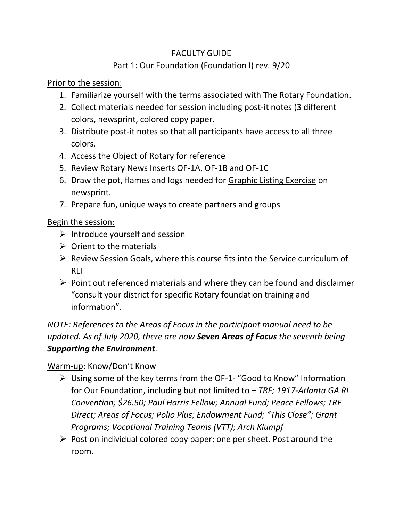#### FACULTY GUIDE

# Part 1: Our Foundation (Foundation I) rev. 9/20

## Prior to the session:

- 1. Familiarize yourself with the terms associated with The Rotary Foundation.
- 2. Collect materials needed for session including post-it notes (3 different colors, newsprint, colored copy paper.
- 3. Distribute post-it notes so that all participants have access to all three colors.
- 4. Access the Object of Rotary for reference
- 5. Review Rotary News Inserts OF-1A, OF-1B and OF-1C
- 6. Draw the pot, flames and logs needed for Graphic Listing Exercise on newsprint.
- 7. Prepare fun, unique ways to create partners and groups

#### Begin the session:

- $\triangleright$  Introduce yourself and session
- $\triangleright$  Orient to the materials
- ➢ Review Session Goals, where this course fits into the Service curriculum of RLI
- $\triangleright$  Point out referenced materials and where they can be found and disclaimer "consult your district for specific Rotary foundation training and information".

# *NOTE: References to the Areas of Focus in the participant manual need to be updated. As of July 2020, there are now Seven Areas of Focus the seventh being Supporting the Environment.*

## Warm-up: Know/Don't Know

- ➢ Using some of the key terms from the OF-1- "Good to Know" Information for Our Foundation, including but not limited to – *TRF; 1917-Atlanta GA RI Convention; \$26.50; Paul Harris Fellow; Annual Fund; Peace Fellows; TRF Direct; Areas of Focus; Polio Plus; Endowment Fund; "This Close"; Grant Programs; Vocational Training Teams (VTT); Arch Klumpf*
- $\triangleright$  Post on individual colored copy paper; one per sheet. Post around the room.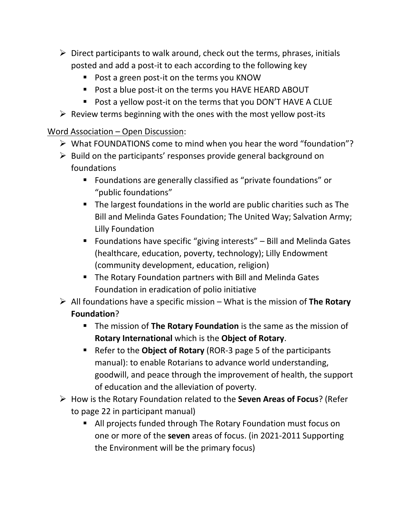- $\triangleright$  Direct participants to walk around, check out the terms, phrases, initials posted and add a post-it to each according to the following key
	- Post a green post-it on the terms you KNOW
	- Post a blue post-it on the terms you HAVE HEARD ABOUT
	- Post a yellow post-it on the terms that you DON'T HAVE A CLUE
- $\triangleright$  Review terms beginning with the ones with the most yellow post-its

# Word Association – Open Discussion:

- ➢ What FOUNDATIONS come to mind when you hear the word "foundation"?
- $\triangleright$  Build on the participants' responses provide general background on foundations
	- Foundations are generally classified as "private foundations" or "public foundations"
	- The largest foundations in the world are public charities such as The Bill and Melinda Gates Foundation; The United Way; Salvation Army; Lilly Foundation
	- Foundations have specific "giving interests" Bill and Melinda Gates (healthcare, education, poverty, technology); Lilly Endowment (community development, education, religion)
	- The Rotary Foundation partners with Bill and Melinda Gates Foundation in eradication of polio initiative
- ➢ All foundations have a specific mission What is the mission of **The Rotary Foundation**?
	- The mission of **The Rotary Foundation** is the same as the mission of **Rotary International** which is the **Object of Rotary**.
	- Refer to the **Object of Rotary** (ROR-3 page 5 of the participants manual): to enable Rotarians to advance world understanding, goodwill, and peace through the improvement of health, the support of education and the alleviation of poverty.
- ➢ How is the Rotary Foundation related to the **Seven Areas of Focus**? (Refer to page 22 in participant manual)
	- All projects funded through The Rotary Foundation must focus on one or more of the **seven** areas of focus. (in 2021-2011 Supporting the Environment will be the primary focus)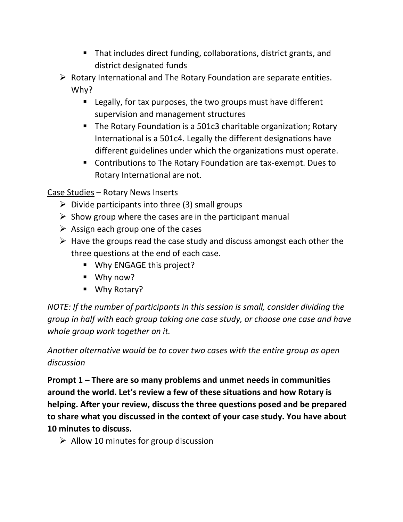- That includes direct funding, collaborations, district grants, and district designated funds
- $\triangleright$  Rotary International and The Rotary Foundation are separate entities. Why?
	- Legally, for tax purposes, the two groups must have different supervision and management structures
	- The Rotary Foundation is a 501c3 charitable organization; Rotary International is a 501c4. Legally the different designations have different guidelines under which the organizations must operate.
	- Contributions to The Rotary Foundation are tax-exempt. Dues to Rotary International are not.

Case Studies – Rotary News Inserts

- $\triangleright$  Divide participants into three (3) small groups
- $\triangleright$  Show group where the cases are in the participant manual
- $\triangleright$  Assign each group one of the cases
- $\triangleright$  Have the groups read the case study and discuss amongst each other the three questions at the end of each case.
	- Why ENGAGE this project?
	- Why now?
	- Why Rotary?

*NOTE: If the number of participants in this session is small, consider dividing the group in half with each group taking one case study, or choose one case and have whole group work together on it.* 

*Another alternative would be to cover two cases with the entire group as open discussion*

**Prompt 1 – There are so many problems and unmet needs in communities around the world. Let's review a few of these situations and how Rotary is helping. After your review, discuss the three questions posed and be prepared to share what you discussed in the context of your case study. You have about 10 minutes to discuss.** 

 $\triangleright$  Allow 10 minutes for group discussion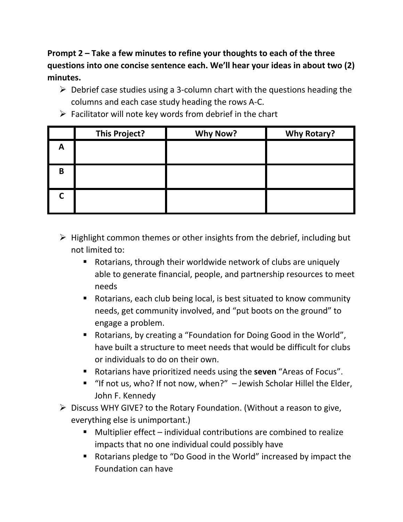**Prompt 2 – Take a few minutes to refine your thoughts to each of the three questions into one concise sentence each. We'll hear your ideas in about two (2) minutes.**

- $\triangleright$  Debrief case studies using a 3-column chart with the questions heading the columns and each case study heading the rows A-C.
- $\triangleright$  Facilitator will note key words from debrief in the chart

|   | <b>This Project?</b> | <b>Why Now?</b> | <b>Why Rotary?</b> |
|---|----------------------|-----------------|--------------------|
| А |                      |                 |                    |
| B |                      |                 |                    |
|   |                      |                 |                    |

- $\triangleright$  Highlight common themes or other insights from the debrief, including but not limited to:
	- Rotarians, through their worldwide network of clubs are uniquely able to generate financial, people, and partnership resources to meet needs
	- Rotarians, each club being local, is best situated to know community needs, get community involved, and "put boots on the ground" to engage a problem.
	- Rotarians, by creating a "Foundation for Doing Good in the World", have built a structure to meet needs that would be difficult for clubs or individuals to do on their own.
	- Rotarians have prioritized needs using the **seven** "Areas of Focus".
	- "If not us, who? If not now, when?" Jewish Scholar Hillel the Elder, John F. Kennedy
- ➢ Discuss WHY GIVE? to the Rotary Foundation. (Without a reason to give, everything else is unimportant.)
	- Multiplier effect individual contributions are combined to realize impacts that no one individual could possibly have
	- Rotarians pledge to "Do Good in the World" increased by impact the Foundation can have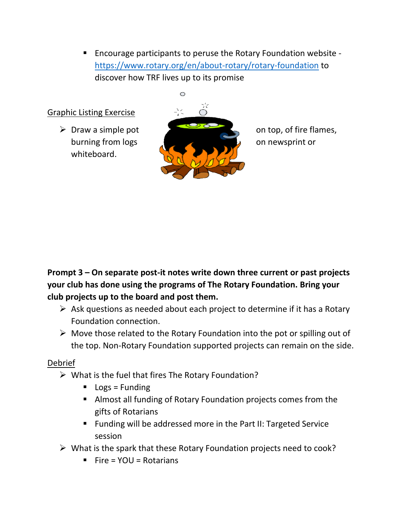■ Encourage participants to peruse the Rotary Foundation website <https://www.rotary.org/en/about-rotary/rotary-foundation> to discover how TRF lives up to its promise

#### Graphic Listing Exercise

whiteboard.



**Prompt 3 – On separate post-it notes write down three current or past projects your club has done using the programs of The Rotary Foundation. Bring your club projects up to the board and post them.** 

- $\triangleright$  Ask questions as needed about each project to determine if it has a Rotary Foundation connection.
- $\triangleright$  Move those related to the Rotary Foundation into the pot or spilling out of the top. Non-Rotary Foundation supported projects can remain on the side.

#### Debrief

- $\triangleright$  What is the fuel that fires The Rotary Foundation?
	- $\blacksquare$  Logs = Funding
	- Almost all funding of Rotary Foundation projects comes from the gifts of Rotarians
	- Funding will be addressed more in the Part II: Targeted Service session
- ➢ What is the spark that these Rotary Foundation projects need to cook?
	- $\blacksquare$  Fire = YOU = Rotarians